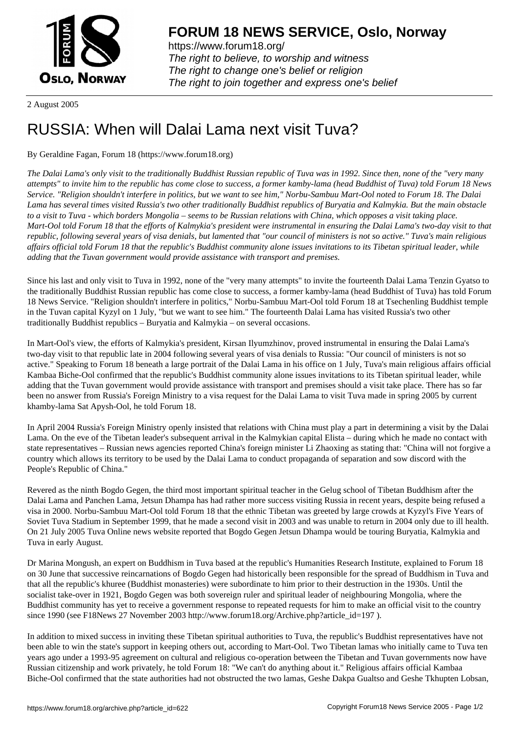

https://www.forum18.org/ The right to believe, to worship and witness The right to change one's belief or religion [The right to join together a](https://www.forum18.org/)nd express one's belief

2 August 2005

## [RUSSIA: When](https://www.forum18.org) will Dalai Lama next visit Tuva?

## By Geraldine Fagan, Forum 18 (https://www.forum18.org)

*The Dalai Lama's only visit to the traditionally Buddhist Russian republic of Tuva was in 1992. Since then, none of the "very many attempts" to invite him to the republic has come close to success, a former kamby-lama (head Buddhist of Tuva) told Forum 18 News Service. "Religion shouldn't interfere in politics, but we want to see him," Norbu-Sambuu Mart-Ool noted to Forum 18. The Dalai Lama has several times visited Russia's two other traditionally Buddhist republics of Buryatia and Kalmykia. But the main obstacle to a visit to Tuva - which borders Mongolia – seems to be Russian relations with China, which opposes a visit taking place. Mart-Ool told Forum 18 that the efforts of Kalmykia's president were instrumental in ensuring the Dalai Lama's two-day visit to that republic, following several years of visa denials, but lamented that "our council of ministers is not so active." Tuva's main religious affairs official told Forum 18 that the republic's Buddhist community alone issues invitations to its Tibetan spiritual leader, while adding that the Tuvan government would provide assistance with transport and premises.*

Since his last and only visit to Tuva in 1992, none of the "very many attempts" to invite the fourteenth Dalai Lama Tenzin Gyatso to the traditionally Buddhist Russian republic has come close to success, a former kamby-lama (head Buddhist of Tuva) has told Forum 18 News Service. "Religion shouldn't interfere in politics," Norbu-Sambuu Mart-Ool told Forum 18 at Tsechenling Buddhist temple in the Tuvan capital Kyzyl on 1 July, "but we want to see him." The fourteenth Dalai Lama has visited Russia's two other traditionally Buddhist republics – Buryatia and Kalmykia – on several occasions.

In Mart-Ool's view, the efforts of Kalmykia's president, Kirsan Ilyumzhinov, proved instrumental in ensuring the Dalai Lama's two-day visit to that republic late in 2004 following several years of visa denials to Russia: "Our council of ministers is not so active." Speaking to Forum 18 beneath a large portrait of the Dalai Lama in his office on 1 July, Tuva's main religious affairs official Kambaa Biche-Ool confirmed that the republic's Buddhist community alone issues invitations to its Tibetan spiritual leader, while adding that the Tuvan government would provide assistance with transport and premises should a visit take place. There has so far been no answer from Russia's Foreign Ministry to a visa request for the Dalai Lama to visit Tuva made in spring 2005 by current khamby-lama Sat Apysh-Ool, he told Forum 18.

In April 2004 Russia's Foreign Ministry openly insisted that relations with China must play a part in determining a visit by the Dalai Lama. On the eve of the Tibetan leader's subsequent arrival in the Kalmykian capital Elista – during which he made no contact with state representatives – Russian news agencies reported China's foreign minister Li Zhaoxing as stating that: "China will not forgive a country which allows its territory to be used by the Dalai Lama to conduct propaganda of separation and sow discord with the People's Republic of China."

Revered as the ninth Bogdo Gegen, the third most important spiritual teacher in the Gelug school of Tibetan Buddhism after the Dalai Lama and Panchen Lama, Jetsun Dhampa has had rather more success visiting Russia in recent years, despite being refused a visa in 2000. Norbu-Sambuu Mart-Ool told Forum 18 that the ethnic Tibetan was greeted by large crowds at Kyzyl's Five Years of Soviet Tuva Stadium in September 1999, that he made a second visit in 2003 and was unable to return in 2004 only due to ill health. On 21 July 2005 Tuva Online news website reported that Bogdo Gegen Jetsun Dhampa would be touring Buryatia, Kalmykia and Tuva in early August.

Dr Marina Mongush, an expert on Buddhism in Tuva based at the republic's Humanities Research Institute, explained to Forum 18 on 30 June that successive reincarnations of Bogdo Gegen had historically been responsible for the spread of Buddhism in Tuva and that all the republic's khuree (Buddhist monasteries) were subordinate to him prior to their destruction in the 1930s. Until the socialist take-over in 1921, Bogdo Gegen was both sovereign ruler and spiritual leader of neighbouring Mongolia, where the Buddhist community has yet to receive a government response to repeated requests for him to make an official visit to the country since 1990 (see F18News 27 November 2003 http://www.forum18.org/Archive.php?article\_id=197 ).

In addition to mixed success in inviting these Tibetan spiritual authorities to Tuva, the republic's Buddhist representatives have not been able to win the state's support in keeping others out, according to Mart-Ool. Two Tibetan lamas who initially came to Tuva ten years ago under a 1993-95 agreement on cultural and religious co-operation between the Tibetan and Tuvan governments now have Russian citizenship and work privately, he told Forum 18: "We can't do anything about it." Religious affairs official Kambaa Biche-Ool confirmed that the state authorities had not obstructed the two lamas, Geshe Dakpa Gualtso and Geshe Tkhupten Lobsan,